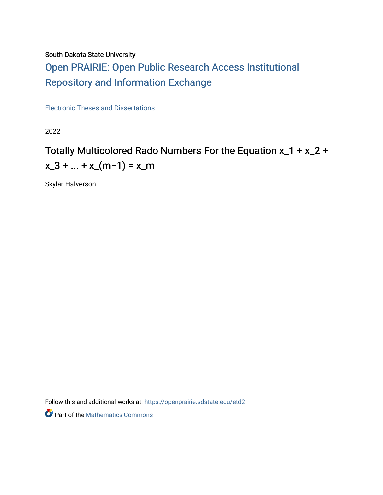# South Dakota State University

# [Open PRAIRIE: Open Public Research Access Institutional](https://openprairie.sdstate.edu/)  [Repository and Information Exchange](https://openprairie.sdstate.edu/)

[Electronic Theses and Dissertations](https://openprairie.sdstate.edu/etd2)

2022

# Totally Multicolored Rado Numbers For the Equation x\_1 + x\_2 +  $x_3 + ... + x_{m-1} = x_{m}$

Skylar Halverson

Follow this and additional works at: [https://openprairie.sdstate.edu/etd2](https://openprairie.sdstate.edu/etd2?utm_source=openprairie.sdstate.edu%2Fetd2%2F399&utm_medium=PDF&utm_campaign=PDFCoverPages) 

**P** Part of the [Mathematics Commons](https://network.bepress.com/hgg/discipline/174?utm_source=openprairie.sdstate.edu%2Fetd2%2F399&utm_medium=PDF&utm_campaign=PDFCoverPages)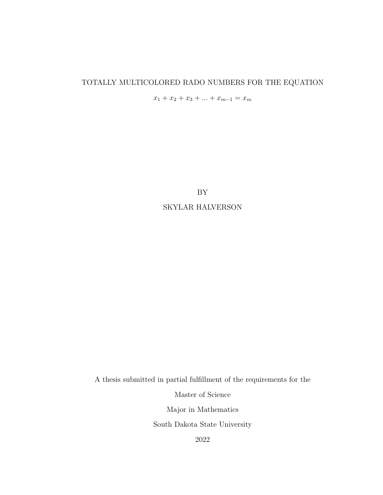# TOTALLY MULTICOLORED RADO NUMBERS FOR THE EQUATION

 $x_1 + x_2 + x_3 + \ldots + x_{m-1} = x_m$ 

BY SKYLAR HALVERSON

A thesis submitted in partial fulfillment of the requirements for the Master of Science Major in Mathematics South Dakota State University 2022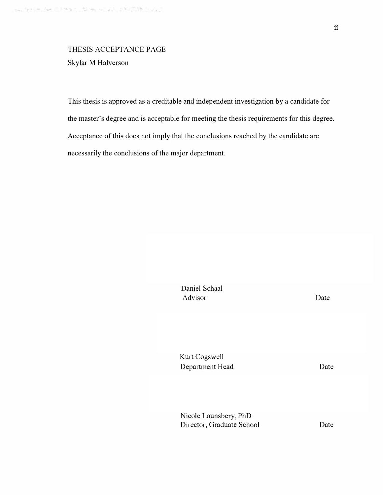# THESIS ACCEPTANCE PAGE Skylar M Halverson

This thesis is approved as a creditable and independent investigation by a candidate for the master's degree and is acceptable for meeting the thesis requirements for this degree. Acceptance of this does not imply that the conclusions reached by the candidate are necessarily the conclusions of the major department.

> Daniel Schaal Advisor Kurt Cogswell Department Head Nicole Lounsbery, PhD Director, Graduate School Date Date Date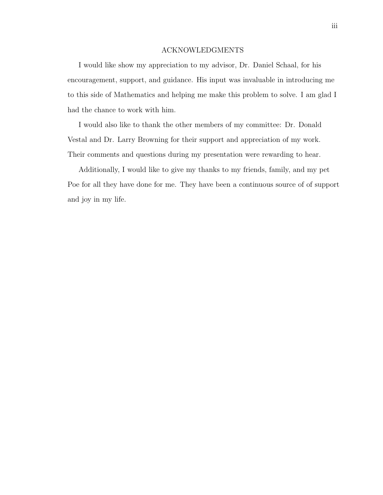## ACKNOWLEDGMENTS

I would like show my appreciation to my advisor, Dr. Daniel Schaal, for his encouragement, support, and guidance. His input was invaluable in introducing me to this side of Mathematics and helping me make this problem to solve. I am glad I had the chance to work with him.

I would also like to thank the other members of my committee: Dr. Donald Vestal and Dr. Larry Browning for their support and appreciation of my work. Their comments and questions during my presentation were rewarding to hear.

Additionally, I would like to give my thanks to my friends, family, and my pet Poe for all they have done for me. They have been a continuous source of of support and joy in my life.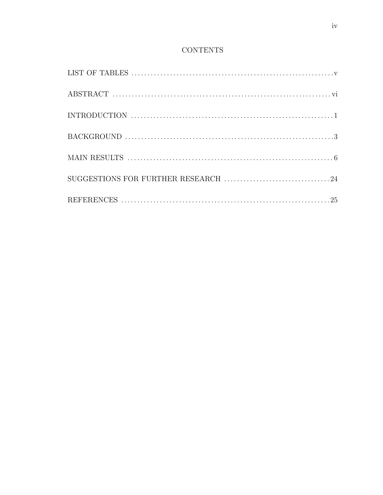# **CONTENTS**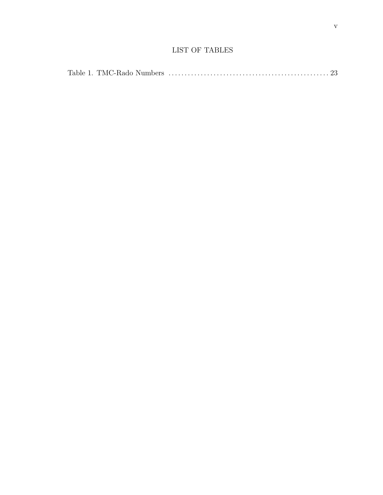# LIST OF TABLES

|--|--|--|--|--|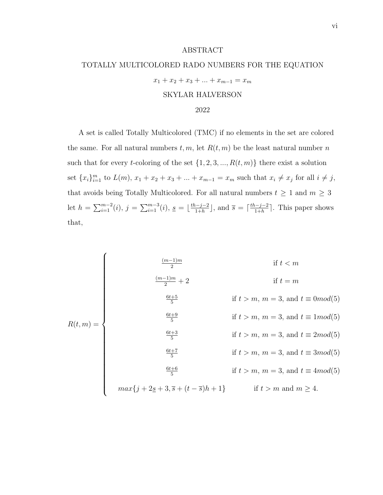#### ABSTRACT

# TOTALLY MULTICOLORED RADO NUMBERS FOR THE EQUATION

$$
x_1 + x_2 + x_3 + \dots + x_{m-1} = x_m
$$
  
SKYLAR HALVERSON  
2022

A set is called Totally Multicolored (TMC) if no elements in the set are colored the same. For all natural numbers  $t, m$ , let  $R(t, m)$  be the least natural number n such that for every *t*-coloring of the set  $\{1, 2, 3, ..., R(t, m)\}$  there exist a solution set  ${x_i}_{i=1}^m$  to  $L(m)$ ,  $x_1 + x_2 + x_3 + ... + x_{m-1} = x_m$  such that  $x_i \neq x_j$  for all  $i \neq j$ , that avoids being Totally Multicolored. For all natural numbers  $t\,\geq\,1$  and  $m\,\geq\,3$ let  $h = \sum_{i=1}^{m-2} (i)$ ,  $j = \sum_{i=1}^{m-3} (i)$ ,  $\underline{s} = \lfloor \frac{th-j-2}{1+h} \rfloor$  $\frac{(-j-2)}{1+h}$ , and  $\overline{s} = \lceil \frac{th-j-2}{1+h} \rceil$  $\frac{n-j-2}{1+h}$ . This paper shows that,

$$
R(t,m) = \begin{cases}\n\frac{(m-1)m}{2} & \text{if } t < m \\
\frac{(m-1)m}{2} + 2 & \text{if } t = m \\
\frac{6t+5}{5} & \text{if } t > m, m = 3, \text{ and } t \equiv 0 \text{mod}(5) \\
\frac{6t+9}{5} & \text{if } t > m, m = 3, \text{ and } t \equiv 1 \text{mod}(5) \\
\frac{6t+3}{5} & \text{if } t > m, m = 3, \text{ and } t \equiv 2 \text{mod}(5) \\
\frac{6t+7}{5} & \text{if } t > m, m = 3, \text{ and } t \equiv 3 \text{mod}(5) \\
\frac{6t+6}{5} & \text{if } t > m, m = 3, \text{ and } t \equiv 4 \text{mod}(5) \\
max\{j+2\underline{s}+3,\overline{s}+(t-\overline{s})h+1\} & \text{if } t > m \text{ and } m \ge 4.\n\end{cases}
$$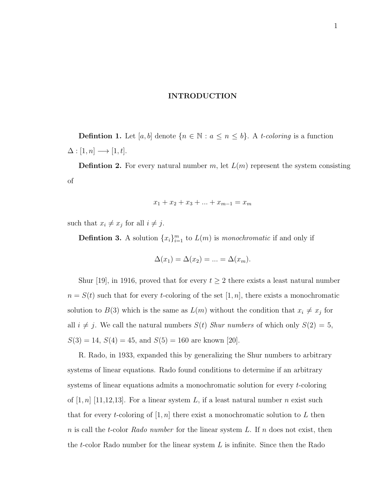# INTRODUCTION

**Defintion 1.** Let [a, b] denote  $\{n \in \mathbb{N} : a \leq n \leq b\}$ . A t-coloring is a function  $\Delta : [1, n] \longrightarrow [1, t].$ 

**Defintion 2.** For every natural number  $m$ , let  $L(m)$  represent the system consisting of

$$
x_1 + x_2 + x_3 + \dots + x_{m-1} = x_m
$$

such that  $x_i \neq x_j$  for all  $i \neq j$ .

**Defintion 3.** A solution  $\{x_i\}_{i=1}^m$  to  $L(m)$  is monochromatic if and only if

$$
\Delta(x_1) = \Delta(x_2) = \dots = \Delta(x_m).
$$

Shur [19], in 1916, proved that for every  $t \geq 2$  there exists a least natural number  $n = S(t)$  such that for every t-coloring of the set  $[1, n]$ , there exists a monochromatic solution to  $B(3)$  which is the same as  $L(m)$  without the condition that  $x_i \neq x_j$  for all  $i \neq j$ . We call the natural numbers  $S(t)$  Shur numbers of which only  $S(2) = 5$ ,  $S(3) = 14, S(4) = 45, \text{ and } S(5) = 160 \text{ are known } [20].$ 

R. Rado, in 1933, expanded this by generalizing the Shur numbers to arbitrary systems of linear equations. Rado found conditions to determine if an arbitrary systems of linear equations admits a monochromatic solution for every t-coloring of  $[1, n]$  [11,12,13]. For a linear system L, if a least natural number n exist such that for every *t*-coloring of  $[1, n]$  there exist a monochromatic solution to L then n is call the t-color Rado number for the linear system L. If n does not exist, then the t-color Rado number for the linear system  $L$  is infinite. Since then the Rado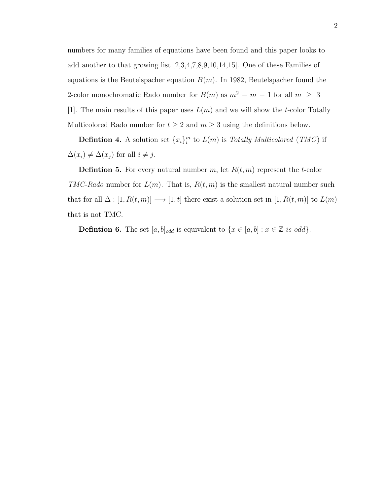numbers for many families of equations have been found and this paper looks to add another to that growing list [2,3,4,7,8,9,10,14,15]. One of these Families of equations is the Beutelspacher equation  $B(m)$ . In 1982, Beutelspacher found the 2-color monochromatic Rado number for  $B(m)$  as  $m^2 - m - 1$  for all  $m \geq 3$ [1]. The main results of this paper uses  $L(m)$  and we will show the t-color Totally Multicolored Rado number for  $t \geq 2$  and  $m \geq 3$  using the definitions below.

**Defintion 4.** A solution set  $\{x_i\}_i^m$  to  $L(m)$  is Totally Multicolored (TMC) if  $\Delta(x_i) \neq \Delta(x_j)$  for all  $i \neq j$ .

**Defintion 5.** For every natural number m, let  $R(t, m)$  represent the t-color TMC-Rado number for  $L(m)$ . That is,  $R(t, m)$  is the smallest natural number such that for all  $\Delta : [1, R(t, m)] \longrightarrow [1, t]$  there exist a solution set in  $[1, R(t, m)]$  to  $L(m)$ that is not TMC.

**Defintion 6.** The set  $[a, b]_{odd}$  is equivalent to  $\{x \in [a, b] : x \in \mathbb{Z} \text{ is odd}\}.$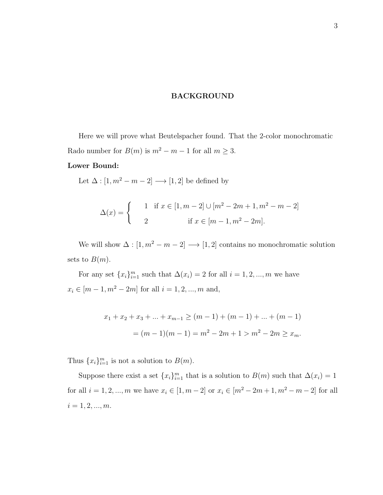# BACKGROUND

Here we will prove what Beutelspacher found. That the 2-color monochromatic Rado number for  $B(m)$  is  $m^2 - m - 1$  for all  $m \ge 3$ .

# Lower Bound:

Let  $\Delta : [1, m^2 - m - 2] \longrightarrow [1, 2]$  be defined by

$$
\Delta(x) = \begin{cases} 1 & \text{if } x \in [1, m-2] \cup [m^2 - 2m + 1, m^2 - m - 2] \\ 2 & \text{if } x \in [m-1, m^2 - 2m]. \end{cases}
$$

We will show  $\Delta : [1, m^2 - m - 2] \longrightarrow [1, 2]$  contains no monochromatic solution sets to  $B(m)$ .

For any set  ${x_i}_{i=1}^m$  such that  $\Delta(x_i) = 2$  for all  $i = 1, 2, ..., m$  we have  $x_i \in [m-1, m^2 - 2m]$  for all  $i = 1, 2, ..., m$  and,

$$
x_1 + x_2 + x_3 + \dots + x_{m-1} \ge (m-1) + (m-1) + \dots + (m-1)
$$
  
=  $(m-1)(m-1) = m^2 - 2m + 1 > m^2 - 2m \ge x_m$ .

Thus  ${x_i}_{i=1}^m$  is not a solution to  $B(m)$ .

Suppose there exist a set  ${x_i}_{i=1}^m$  that is a solution to  $B(m)$  such that  $\Delta(x_i) = 1$ for all  $i = 1, 2, ..., m$  we have  $x_i \in [1, m - 2]$  or  $x_i \in [m^2 - 2m + 1, m^2 - m - 2]$  for all  $i = 1, 2, ..., m$ .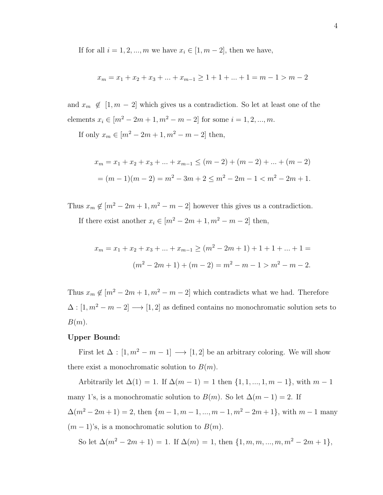If for all  $i = 1, 2, ..., m$  we have  $x_i \in [1, m - 2]$ , then we have,

$$
x_m = x_1 + x_2 + x_3 + \dots + x_{m-1} \ge 1 + 1 + \dots + 1 = m - 1 > m - 2
$$

and  $x_m \notin [1, m - 2]$  which gives us a contradiction. So let at least one of the elements  $x_i \in [m^2 - 2m + 1, m^2 - m - 2]$  for some  $i = 1, 2, ..., m$ .

If only  $x_m \in [m^2 - 2m + 1, m^2 - m - 2]$  then,

$$
x_m = x_1 + x_2 + x_3 + \dots + x_{m-1} \le (m-2) + (m-2) + \dots + (m-2)
$$
  
=  $(m-1)(m-2) = m^2 - 3m + 2 \le m^2 - 2m - 1 < m^2 - 2m + 1$ .

Thus  $x_m \notin [m^2 - 2m + 1, m^2 - m - 2]$  however this gives us a contradiction. If there exist another  $x_i \in [m^2 - 2m + 1, m^2 - m - 2]$  then,

$$
x_m = x_1 + x_2 + x_3 + \dots + x_{m-1} \ge (m^2 - 2m + 1) + 1 + 1 + \dots + 1 =
$$
  

$$
(m^2 - 2m + 1) + (m - 2) = m^2 - m - 1 > m^2 - m - 2.
$$

Thus  $x_m \notin [m^2 - 2m + 1, m^2 - m - 2]$  which contradicts what we had. Therefore  $\Delta : [1, m^2 - m - 2] \longrightarrow [1, 2]$  as defined contains no monochromatic solution sets to  $B(m).$ 

# Upper Bound:

First let  $\Delta : [1, m^2 - m - 1] \longrightarrow [1, 2]$  be an arbitrary coloring. We will show there exist a monochromatic solution to  $B(m)$ .

Arbitrarily let  $\Delta(1) = 1$ . If  $\Delta(m - 1) = 1$  then  $\{1, 1, ..., 1, m - 1\}$ , with  $m - 1$ many 1's, is a monochromatic solution to  $B(m)$ . So let  $\Delta(m-1) = 2$ . If  $\Delta(m^2 - 2m + 1) = 2$ , then  $\{m - 1, m - 1, ..., m - 1, m^2 - 2m + 1\}$ , with  $m - 1$  many  $(m-1)$ 's, is a monochromatic solution to  $B(m)$ .

So let  $\Delta(m^2 - 2m + 1) = 1$ . If  $\Delta(m) = 1$ , then  $\{1, m, m, ..., m, m^2 - 2m + 1\}$ ,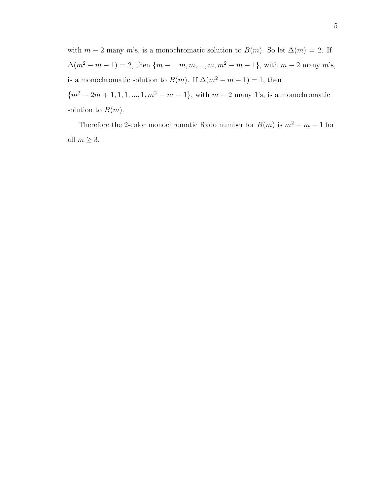with  $m-2$  many m's, is a monochromatic solution to  $B(m)$ . So let  $\Delta(m) = 2$ . If  $\Delta(m^2 - m - 1) = 2$ , then  $\{m - 1, m, m, ..., m, m^2 - m - 1\}$ , with  $m - 2$  many  $m$ 's, is a monochromatic solution to  $B(m)$ . If  $\Delta(m^2 - m - 1) = 1$ , then  ${m^2 - 2m + 1, 1, 1, ..., 1, m^2 - m - 1}$ , with  $m - 2$  many 1's, is a monochromatic

Therefore the 2-color monochromatic Rado number for  $B(m)$  is  $m^2 - m - 1$  for all  $m \geq 3$ .

solution to  $B(m)$ .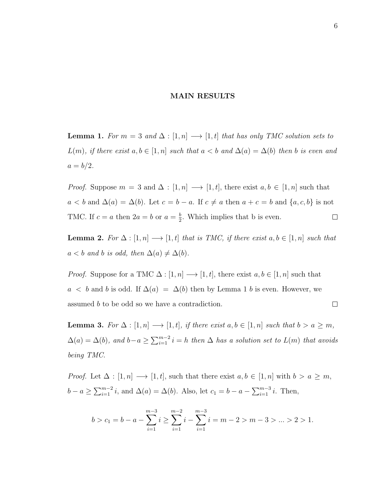# MAIN RESULTS

**Lemma 1.** For  $m = 3$  and  $\Delta : [1, n] \longrightarrow [1, t]$  that has only TMC solution sets to  $L(m)$ , if there exist  $a, b \in [1, n]$  such that  $a < b$  and  $\Delta(a) = \Delta(b)$  then b is even and  $a = b/2$ .

*Proof.* Suppose  $m = 3$  and  $\Delta : [1, n] \longrightarrow [1, t]$ , there exist  $a, b \in [1, n]$  such that  $a < b$  and  $\Delta(a) = \Delta(b)$ . Let  $c = b - a$ . If  $c \neq a$  then  $a + c = b$  and  $\{a, c, b\}$  is not TMC. If  $c = a$  then  $2a = b$  or  $a = \frac{b}{2}$  $\frac{b}{2}$ . Which implies that b is even.  $\Box$ 

**Lemma 2.** For  $\Delta : [1, n] \longrightarrow [1, t]$  that is TMC, if there exist  $a, b \in [1, n]$  such that  $a < b$  and b is odd, then  $\Delta(a) \neq \Delta(b)$ .

*Proof.* Suppose for a TMC  $\Delta : [1, n] \longrightarrow [1, t]$ , there exist  $a, b \in [1, n]$  such that  $a < b$  and b is odd. If  $\Delta(a) = \Delta(b)$  then by Lemma 1 b is even. However, we assumed b to be odd so we have a contradiction.  $\Box$ 

**Lemma 3.** For  $\Delta : [1, n] \longrightarrow [1, t]$ , if there exist  $a, b \in [1, n]$  such that  $b > a \geq m$ ,  $\Delta(a) = \Delta(b)$ , and  $b-a \ge \sum_{i=1}^{m-2} i = h$  then  $\Delta$  has a solution set to  $L(m)$  that avoids being TMC.

*Proof.* Let  $\Delta : [1, n] \longrightarrow [1, t]$ , such that there exist  $a, b \in [1, n]$  with  $b > a \geq m$ ,  $b - a \ge \sum_{i=1}^{m-2} i$ , and  $\Delta(a) = \Delta(b)$ . Also, let  $c_1 = b - a - \sum_{i=1}^{m-3} i$ . Then,

$$
b > c_1 = b - a - \sum_{i=1}^{m-3} i \ge \sum_{i=1}^{m-2} i - \sum_{i=1}^{m-3} i = m - 2 > m - 3 > \dots > 2 > 1.
$$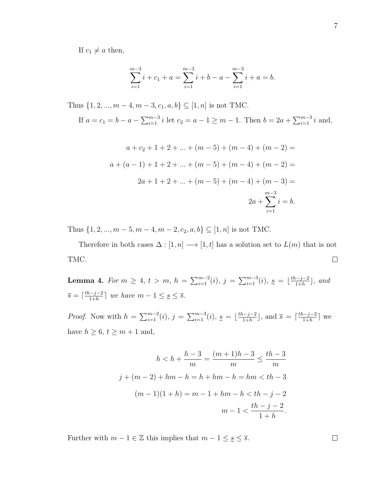If  $c_1 \neq a$  then,

$$
\sum_{i=1}^{m-3} i + c_1 + a = \sum_{i=1}^{m-3} i + b - a - \sum_{i=1}^{m-3} i + a = b.
$$

Thus  $\{1, 2, ..., m-4, m-3, c_1, a, b\} \subseteq [1, n]$  is not TMC. If  $a = c_1 = b - a - \sum_{i=1}^{m-3} i$  let  $c_2 = a - 1 \ge m - 1$ . Then  $b = 2a + \sum_{i=1}^{m-3} i$  and,

$$
a + c_2 + 1 + 2 + \dots + (m - 5) + (m - 4) + (m - 2) =
$$
  

$$
a + (a - 1) + 1 + 2 + \dots + (m - 5) + (m - 4) + (m - 2) =
$$
  

$$
2a + 1 + 2 + \dots + (m - 5) + (m - 4) + (m - 3) =
$$
  

$$
2a + \sum_{i=1}^{m-3} i = b.
$$

Thus  $\{1, 2, ..., m - 5, m - 4, m - 2, c_2, a, b\} \subseteq [1, n]$  is not TMC.

Therefore in both cases  $\Delta : [1, n] \longrightarrow [1, t]$  has a solution set to  $L(m)$  that is not TMC.  $\Box$ 

Lemma 4. For  $m \ge 4$ ,  $t > m$ ,  $h = \sum_{i=1}^{m-2}(i)$ ,  $j = \sum_{i=1}^{m-3}(i)$ ,  $\underline{s} = \lfloor \frac{th-j-2}{1+h} \rfloor$  $\frac{n-j-2}{1+h}$ , and  $\overline{s} = \left[\frac{th-j-2}{1+h}\right]$  $\frac{n-j-2}{1+h}$  we have  $m-1 \leq s \leq \overline{s}$ .

*Proof.* Now with  $h = \sum_{i=1}^{m-2} (i)$ ,  $j = \sum_{i=1}^{m-3} (i)$ ,  $s = \lfloor \frac{th-j-2}{1+h} \rfloor$  $\frac{(-j-2)}{1+h}$ , and  $\overline{s} = \lceil \frac{th-j-2}{1+h} \rceil$  $\frac{n-j-2}{1+h}$  we have  $h \geq 6$ ,  $t \geq m+1$  and,

$$
h < h + \frac{h-3}{m} = \frac{(m+1)h-3}{m} \le \frac{th-3}{m}
$$
  

$$
j + (m-2) + hm - h = h + hm - h = hm < th - 3
$$
  

$$
(m-1)(1+h) = m - 1 + hm - h < th - j - 2
$$
  

$$
m - 1 < \frac{th - j - 2}{1+h}.
$$

Further with  $m-1\in\mathbb{Z}$  this implies that  $m-1\leq\underline{s}\leq\overline{s}.$ 

 $\Box$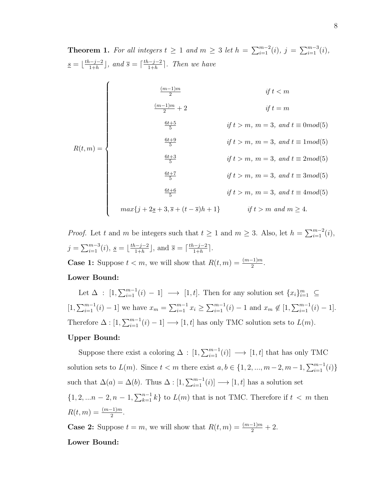**Theorem 1.** For all integers  $t \geq 1$  and  $m \geq 3$  let  $h = \sum_{i=1}^{m-2} (i)$ ,  $j = \sum_{i=1}^{m-3} (i)$ ,  $s = \frac{th-j-2}{1+h}$  $\frac{n-j-2}{1+h}$ , and  $\overline{s} = \lceil \frac{th-j-2}{1+h} \rceil$  $\frac{n-j-2}{1+h}$ . Then we have  $R(t, m) = \left\{\n\begin{aligned}\nR(t, m) = \left\{\n\begin{aligned}\n\frac{1}{\sqrt{2\pi}} & \frac{1}{\sqrt{2\pi}} \\
\frac{1}{\sqrt{2\pi}} & \frac{1}{\sqrt{2\pi}} & \frac{1}{\sqrt{2\pi}}\n\end{aligned}\n\end{aligned}\n\right.$  $\sqrt{ }$  $\begin{array}{c} \begin{array}{c} \begin{array}{c} \begin{array}{c} \end{array} \\ \end{array} \\ \begin{array}{c} \end{array} \end{array} \end{array}$   $(m-1)m$  $\frac{i}{2}$  if  $t < m$  $\frac{(m-1)m}{2} + 2$  if  $t = m$  $6t + 5$  $\frac{+5}{5}$  if  $t > m$ ,  $m = 3$ , and  $t \equiv 0 \mod(5)$  $6t + 9$  $\frac{+9}{5}$  if  $t > m$ ,  $m = 3$ , and  $t \equiv 1 \mod (5)$  $6t + 3$  $\frac{+3}{5}$  if  $t > m$ ,  $m = 3$ , and  $t \equiv 2mod(5)$  $6t + 7$  $\frac{+7}{5}$  if  $t > m$ ,  $m = 3$ , and  $t \equiv 3mod(5)$  $6t + 6$  $\frac{+6}{5}$  if  $t > m$ ,  $m = 3$ , and  $t \equiv 4mod(5)$  $max\{j + 2\underline{s} + 3, \overline{s} + (t - \overline{s})h + 1\}$  if  $t > m$  and  $m \ge 4$ .

*Proof.* Let t and m be integers such that  $t \ge 1$  and  $m \ge 3$ . Also, let  $h = \sum_{i=1}^{m-2} (i)$ ,  $j = \sum_{i=1}^{m-3} (i), \underline{s} = \lfloor \frac{th-j-2}{1+h} \rfloor$  $\frac{(-j-2)}{1+h}$ , and  $\overline{s} = \lceil \frac{th-j-2}{1+h} \rceil$  $\frac{n-j-2}{1+h}$ .

**Case 1:** Suppose  $t < m$ , we will show that  $R(t, m) = \frac{(m-1)m}{2}$ .

# Lower Bound:

Let  $\Delta : [1, \sum_{i=1}^{m-1} (i) - 1] \longrightarrow [1, t]$ . Then for any solution set  $\{x_i\}_{i=1}^m \subseteq$  $[1,\sum_{i=1}^{m-1}(i)-1]$  we have  $x_m = \sum_{i=1}^{m-1} x_i \ge \sum_{i=1}^{m-1}(i)-1$  and  $x_m \notin [1,\sum_{i=1}^{m-1}(i)-1]$ . Therefore  $\Delta : [1, \sum_{i=1}^{m-1} (i) - 1] \longrightarrow [1, t]$  has only TMC solution sets to  $L(m)$ .

# Upper Bound:

Suppose there exist a coloring  $\Delta : [1, \sum_{i=1}^{m-1} (i)] \longrightarrow [1, t]$  that has only TMC solution sets to  $L(m)$ . Since  $t < m$  there exist  $a, b \in \{1, 2, ..., m-2, m-1, \sum_{i=1}^{m-1}(i)\}\$ such that  $\Delta(a) = \Delta(b)$ . Thus  $\Delta : [1, \sum_{i=1}^{m-1} (i)] \longrightarrow [1, t]$  has a solution set  $\{1, 2, \ldots n-2, n-1, \sum_{k=1}^{n-1} k\}$  to  $L(m)$  that is not TMC. Therefore if  $t < m$  then  $R(t, m) = \frac{(m-1)m}{2}$ . **Case 2:** Suppose  $t = m$ , we will show that  $R(t, m) = \frac{(m-1)m}{2} + 2$ .

#### Lower Bound: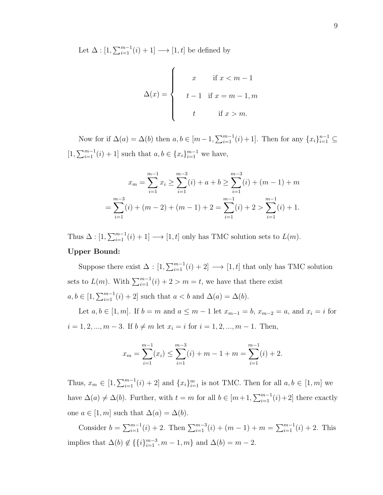Let  $\Delta : [1, \sum_{i=1}^{m-1} (i) + 1] \longrightarrow [1, t]$  be defined by

$$
\Delta(x) = \begin{cases}\nx & \text{if } x < m-1 \\
t-1 & \text{if } x = m-1, m \\
t & \text{if } x > m.\n\end{cases}
$$

Now for if  $\Delta(a) = \Delta(b)$  then  $a, b \in [m-1, \sum_{i=1}^{m-1} (i) + 1]$ . Then for any  $\{x_i\}_{i=1}^{n-1} \subseteq$  $[1, \sum_{i=1}^{m-1} (i) + 1]$  such that  $a, b \in \{x_i\}_{i=1}^{m-1}$  we have,

$$
x_m = \sum_{i=1}^{m-1} x_i \ge \sum_{i=1}^{m-3} (i) + a + b \ge \sum_{i=1}^{m-3} (i) + (m-1) + m
$$
  
= 
$$
\sum_{i=1}^{m-3} (i) + (m-2) + (m-1) + 2 = \sum_{i=1}^{m-1} (i) + 2 > \sum_{i=1}^{m-1} (i) + 1.
$$

Thus  $\Delta : [1, \sum_{i=1}^{m-1} (i) + 1] \longrightarrow [1, t]$  only has TMC solution sets to  $L(m)$ .

# Upper Bound:

Suppose there exist  $\Delta : [1, \sum_{i=1}^{m-1} (i) + 2] \longrightarrow [1, t]$  that only has TMC solution sets to  $L(m)$ . With  $\sum_{i=1}^{m-1} (i) + 2 > m = t$ , we have that there exist  $a, b \in [1, \sum_{i=1}^{m-1} (i) + 2]$  such that  $a < b$  and  $\Delta(a) = \Delta(b)$ .

Let  $a, b \in [1, m]$ . If  $b = m$  and  $a \le m - 1$  let  $x_{m-1} = b$ ,  $x_{m-2} = a$ , and  $x_i = i$  for  $i = 1, 2, ..., m - 3$ . If  $b \neq m$  let  $x_i = i$  for  $i = 1, 2, ..., m - 1$ . Then,

$$
x_m = \sum_{i=1}^{m-1} (x_i) \le \sum_{i=1}^{m-3} (i) + m - 1 + m = \sum_{i=1}^{m-1} (i) + 2.
$$

Thus,  $x_m \in [1, \sum_{i=1}^{m-1} (i) + 2]$  and  $\{x_i\}_{i=1}^m$  is not TMC. Then for all  $a, b \in [1, m]$  we have  $\Delta(a) \neq \Delta(b)$ . Further, with  $t = m$  for all  $b \in [m+1, \sum_{i=1}^{m-1} (i) + 2]$  there exactly one  $a \in [1, m]$  such that  $\Delta(a) = \Delta(b)$ .

Consider  $b = \sum_{i=1}^{m-1} (i) + 2$ . Then  $\sum_{i=1}^{m-3} (i) + (m-1) + m = \sum_{i=1}^{m-1} (i) + 2$ . This implies that  $\Delta(b) \notin \{\{i\}_{i=1}^{m-3}, m-1, m\}$  and  $\Delta(b) = m-2$ .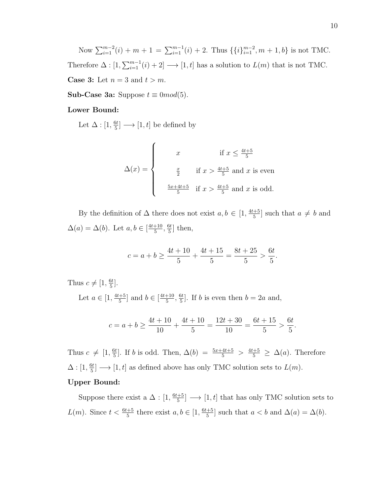Now  $\sum_{i=1}^{m-2}(i) + m + 1 = \sum_{i=1}^{m-1}(i) + 2$ . Thus  $\{\{i\}_{i=1}^{m-2}, m + 1, b\}$  is not TMC. Therefore  $\Delta : [1, \sum_{i=1}^{m-1} (i) + 2] \longrightarrow [1, t]$  has a solution to  $L(m)$  that is not TMC. **Case 3:** Let  $n = 3$  and  $t > m$ .

**Sub-Case 3a:** Suppose  $t \equiv 0 \mod(5)$ .

# Lower Bound:

Let  $\Delta$  :  $[1, \frac{6t}{5}]$  $\frac{5t}{5}] \longrightarrow [1, t]$  be defined by

$$
\Delta(x) = \begin{cases}\nx & \text{if } x \le \frac{4t+5}{5} \\
\frac{x}{2} & \text{if } x > \frac{4t+5}{5} \text{ and } x \text{ is even} \\
\frac{5x+4t+5}{5} & \text{if } x > \frac{4t+5}{5} \text{ and } x \text{ is odd.} \n\end{cases}
$$

By the definition of  $\Delta$  there does not exist  $a, b \in [1, \frac{4t+5}{5}]$  $\frac{a+5}{5}$  such that  $a \neq b$  and  $\Delta(a) = \Delta(b)$ . Let  $a, b \in \lceil \frac{4t+10}{5} \rceil$  $\frac{+10}{5}, \frac{6t}{5}$  $\frac{5t}{5}$  then,

$$
c = a + b \ge \frac{4t + 10}{5} + \frac{4t + 15}{5} = \frac{8t + 25}{5} > \frac{6t}{5}.
$$

Thus  $c \neq [1, \frac{6t}{5}]$  $\frac{it}{5}$ .

> Let  $a \in [1, \frac{4t+5}{5}]$  $\frac{+5}{5}$  and  $b \in \left[\frac{4t+10}{5}\right]$  $\frac{+10}{5}, \frac{6t}{5}$  $\frac{5t}{5}$ . If *b* is even then  $b = 2a$  and,

$$
c = a + b \ge \frac{4t + 10}{10} + \frac{4t + 10}{5} = \frac{12t + 30}{10} = \frac{6t + 15}{5} > \frac{6t}{5}.
$$

Thus  $c \neq [1, \frac{6t}{5}]$  $\frac{5t}{5}$ . If *b* is odd. Then,  $\Delta(b) = \frac{5x+4t+5}{5} > \frac{4t+5}{5} \geq \Delta(a)$ . Therefore  $\Delta$  :  $[1, \frac{6t}{5}]$  $\frac{5t}{5}$   $\longrightarrow$  [1, t] as defined above has only TMC solution sets to  $L(m)$ .

# Upper Bound:

Suppose there exist a  $\Delta$  : [1,  $\frac{6t+5}{5}$  $\frac{+5}{5}$   $\longrightarrow$  [1, t] that has only TMC solution sets to  $L(m)$ . Since  $t < \frac{6t+5}{5}$  there exist  $a, b \in [1, \frac{6t+5}{5}]$  $\frac{+5}{5}$  such that  $a < b$  and  $\Delta(a) = \Delta(b)$ .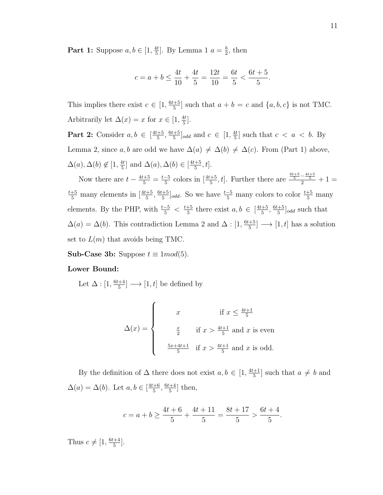**Part 1:** Suppose  $a, b \in [1, \frac{4t}{5}]$  $\frac{4t}{5}$ . By Lemma 1  $a = \frac{b}{2}$  $\frac{b}{2}$ , then

$$
c = a + b \le \frac{4t}{10} + \frac{4t}{5} = \frac{12t}{10} = \frac{6t}{5} < \frac{6t + 5}{5}.
$$

This implies there exist  $c \in [1, \frac{6t+5}{5}]$  $\frac{+5}{5}$  such that  $a + b = c$  and  $\{a, b, c\}$  is not TMC. Arbitrarily let  $\Delta(x) = x$  for  $x \in [1, \frac{4t}{5}]$  $\frac{4t}{5}$ .

**Part 2:** Consider  $a, b \in \left[\frac{4t+5}{5}\right]$  $\frac{+5}{5}, \frac{6t+5}{5}$  $\frac{+5}{5}$ <sub>odd</sub> and  $c \in [1, \frac{4t}{5}]$  $\frac{4t}{5}$  such that  $c < a < b$ . By Lemma 2, since a, b are odd we have  $\Delta(a) \neq \Delta(b) \neq \Delta(c)$ . From (Part 1) above,  $\Delta(a), \Delta(b) \notin [1, \frac{4t}{5}]$  $\frac{4t}{5}$ ] and  $\Delta(a), \Delta(b) \in \left[\frac{4t+5}{5}\right]$  $\frac{+5}{5}$ , t].

Now there are  $t - \frac{4t+5}{5} = \frac{t-5}{5}$  $\frac{-5}{5}$  colors in  $\left[\frac{4t+5}{5}, t\right]$ . Further there are  $\frac{\frac{6t+5}{5}-\frac{4t+5}{5}}{2}+1=$  $\frac{t+5}{5}$  many elements in  $\left[\frac{4t+5}{5}, \frac{6t+5}{5}\right]$  $\frac{+5}{5}$ <sub>odd</sub>. So we have  $\frac{t-5}{5}$  many colors to color  $\frac{t+5}{5}$  many elements. By the PHP, with  $\frac{t-5}{5} < \frac{t+5}{5}$  $\frac{+5}{5}$  there exist  $a, b \in \left[\frac{4t+5}{5}\right]$  $\frac{+5}{5}, \frac{6t+5}{5}$  $\frac{+5}{5}$ <sub>odd</sub> such that  $\Delta(a) = \Delta(b)$ . This contradiction Lemma 2 and  $\Delta : [1, \frac{6t+5}{5}]$  $\frac{d+5}{5}] \longrightarrow [1, t]$  has a solution set to  $L(m)$  that avoids being TMC.

Sub-Case 3b: Suppose  $t \equiv 1 \mod(5)$ .

# Lower Bound:

Let  $\Delta : [1, \frac{6t+4}{5}]$  $\frac{+4}{5}] \longrightarrow [1, t]$  be defined by

$$
\Delta(x) = \begin{cases}\nx & \text{if } x \le \frac{4t+1}{5} \\
\frac{x}{2} & \text{if } x > \frac{4t+1}{5} \text{ and } x \text{ is even} \\
\frac{5x+4t+1}{5} & \text{if } x > \frac{4t+1}{5} \text{ and } x \text{ is odd.} \n\end{cases}
$$

By the definition of  $\Delta$  there does not exist  $a, b \in [1, \frac{4t+1}{5}]$  $\left[\frac{+1}{5}\right]$  such that  $a \neq b$  and  $\Delta(a) = \Delta(b)$ . Let  $a, b \in \left[\frac{4t+6}{5}\right]$  $\frac{+6}{5}, \frac{6t+4}{5}$  $\frac{+4}{5}$  then,

$$
c = a + b \ge \frac{4t + 6}{5} + \frac{4t + 11}{5} = \frac{8t + 17}{5} > \frac{6t + 4}{5}.
$$

Thus  $c \neq [1, \frac{6t+4}{5}]$  $\frac{+4}{5}$ .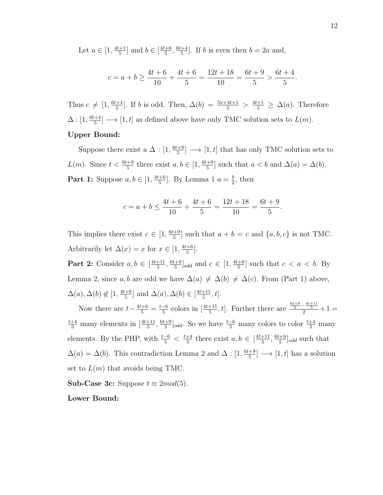Let  $a \in [1, \frac{4t+1}{5}]$  $\frac{+1}{5}$  and  $b \in \left[\frac{4t+6}{5}\right]$  $\frac{+6}{5}, \frac{6t+4}{5}$  $\frac{+4}{5}$ . If *b* is even then  $b = 2a$  and,

$$
c = a + b \ge \frac{4t + 6}{10} + \frac{4t + 6}{5} = \frac{12t + 18}{10} = \frac{6t + 9}{5} > \frac{6t + 4}{5}.
$$

Thus  $c \neq [1, \frac{6t+4}{5}]$  $\frac{+4}{5}$ . If *b* is odd. Then,  $\Delta(b) = \frac{5x+4t+1}{5} > \frac{4t+1}{5} \ge \Delta(a)$ . Therefore  $\Delta: [1, \frac{6t+4}{5}]$  $\frac{+4}{5}$   $\rightarrow$  [1, t] as defined above have only TMC solution sets to  $L(m)$ . Upper Bound:

Suppose there exist a  $\Delta$  :  $[1, \frac{6t+9}{5}]$  $\frac{+9}{5}$   $\rightarrow$  [1, t] that has only TMC solution sets to  $L(m)$ . Since  $t < \frac{6t+9}{5}$  there exist  $a, b \in [1, \frac{6t+9}{5}]$  $\frac{+9}{5}$  such that  $a < b$  and  $\Delta(a) = \Delta(b)$ . **Part 1:** Suppose  $a, b \in \left[1, \frac{4t+6}{5}\right]$  $\frac{+6}{5}$ . By Lemma 1  $a = \frac{b}{2}$  $\frac{b}{2}$ , then

$$
c = a + b \le \frac{4t + 6}{10} + \frac{4t + 6}{5} = \frac{12t + 18}{10} = \frac{6t + 9}{5}.
$$

This implies there exist  $c \in [1, \frac{6t+9}{5}]$  $\frac{+9}{5}$  such that  $a + b = c$  and  $\{a, b, c\}$  is not TMC. Arbitrarily let  $\Delta(x) = x$  for  $x \in [1, \frac{4t+6}{5}]$  $\frac{+6}{5}$ .

**Part 2:** Consider  $a, b \in \left[\frac{4t+11}{5}\right]$  $\frac{+11}{5}, \frac{6t+9}{5}$  $\frac{+9}{5}$ <sub>odd</sub> and  $c \in [1, \frac{4t+6}{5}]$  $\frac{+6}{5}$  such that  $c < a < b$ . By Lemma 2, since a, b are odd we have  $\Delta(a) \neq \Delta(b) \neq \Delta(c)$ . From (Part 1) above,  $\Delta(a), \Delta(b) \notin [1, \frac{4t+6}{5}]$  $\frac{+6}{5}$ ] and  $\Delta(a)$ ,  $\Delta(b) \in \left[\frac{4t+11}{5}\right]$  $\frac{+11}{5}$ , t].

Now there are  $t-\frac{4t+6}{5}=\frac{t-6}{5}$  $\frac{-6}{5}$  colors in  $\left[\frac{4t+11}{5}, t\right]$ . Further there are  $\frac{\frac{6t+9}{5} - \frac{4t+11}{5}}{2} + 1 =$  $\frac{t+4}{5}$  many elements in  $\left[\frac{4t+11}{5}, \frac{6t+9}{5}\right]$  $\frac{+9}{5}$ <sub>odd</sub>. So we have  $\frac{t-6}{5}$  many colors to color  $\frac{t+4}{5}$  many elements. By the PHP, with  $\frac{t-6}{5} < \frac{t+4}{5}$  $\frac{+4}{5}$  there exist  $a, b \in \left[\frac{4t+11}{5}\right]$  $\frac{+11}{5}, \frac{6t+9}{5}$  $\frac{q+9}{5}$ <sub>odd</sub> such that  $\Delta(a) = \Delta(b)$ . This contradiction Lemma 2 and  $\Delta : [1, \frac{6t+9}{5}]$  $\frac{[+9]}{5}] \longrightarrow [1, t]$  has a solution set to  $L(m)$  that avoids being TMC.

**Sub-Case 3c:** Suppose  $t \equiv 2mod(5)$ .

# Lower Bound: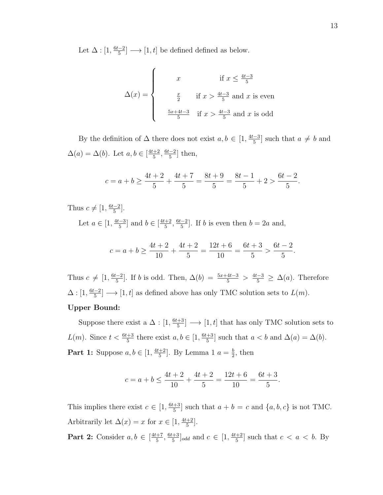Let  $\Delta : [1, \frac{6t-2}{5}]$  $\frac{-2}{5}] \longrightarrow [1, t]$  be defined defined as below.

$$
\Delta(x) = \begin{cases}\nx & \text{if } x \le \frac{4t-3}{5} \\
\frac{x}{2} & \text{if } x > \frac{4t-3}{5} \text{ and } x \text{ is even} \\
\frac{5x+4t-3}{5} & \text{if } x > \frac{4t-3}{5} \text{ and } x \text{ is odd}\n\end{cases}
$$

By the definition of  $\Delta$  there does not exist  $a, b \in [1, \frac{4t-3}{5}]$  $\left[\frac{5}{5}\right]$  such that  $a \neq b$  and  $\Delta(a) = \Delta(b)$ . Let  $a, b \in \left[\frac{4t+2}{5}\right]$  $\frac{+2}{5}, \frac{6t-2}{5}$  $\frac{-2}{5}$ ] then,

$$
c = a + b \ge \frac{4t + 2}{5} + \frac{4t + 7}{5} = \frac{8t + 9}{5} = \frac{8t - 1}{5} + 2 > \frac{6t - 2}{5}.
$$

Thus  $c \neq [1, \frac{6t-2}{5}]$  $\frac{-2}{5}$ .

> Let  $a \in [1, \frac{4t-3}{5}]$  $\frac{-3}{5}$ ] and  $b \in \left[\frac{4t+2}{5}\right]$  $\frac{+2}{5}, \frac{6t-2}{5}$  $\frac{-2}{5}$ . If *b* is even then  $b = 2a$  and,

$$
c = a + b \ge \frac{4t + 2}{10} + \frac{4t + 2}{5} = \frac{12t + 6}{10} = \frac{6t + 3}{5} > \frac{6t - 2}{5}
$$

Thus  $c \neq [1, \frac{6t-2}{5}]$  $\frac{-2}{5}$ . If *b* is odd. Then,  $\Delta(b) = \frac{5x+4t-3}{5} > \frac{4t-3}{5} \ge \Delta(a)$ . Therefore  $\Delta : [1, \frac{6t-2}{5}]$  $\frac{-2}{5}] \longrightarrow [1, t]$  as defined above has only TMC solution sets to  $L(m)$ . Upper Bound:

#### Suppose there exist a  $\Delta$  :  $[1, \frac{6t+3}{5}]$  $\frac{+3}{5}$   $\rightarrow$  [1, t] that has only TMC solution sets to  $L(m)$ . Since  $t < \frac{6t+3}{5}$  there exist  $a, b \in [1, \frac{6t+3}{5}]$  $\frac{+3}{5}$  such that  $a < b$  and  $\Delta(a) = \Delta(b)$ . **Part 1:** Suppose  $a, b \in \left[1, \frac{4t+2}{5}\right]$  $\frac{+2}{5}$ . By Lemma 1  $a = \frac{b}{2}$  $\frac{b}{2}$ , then

$$
c = a + b \le \frac{4t + 2}{10} + \frac{4t + 2}{5} = \frac{12t + 6}{10} = \frac{6t + 3}{5}.
$$

This implies there exist  $c \in [1, \frac{6t+3}{5}]$  $\frac{+3}{5}$  such that  $a + b = c$  and  $\{a, b, c\}$  is not TMC. Arbitrarily let  $\Delta(x) = x$  for  $x \in [1, \frac{4t+2}{5}]$  $\frac{+2}{5}$ . **Part 2:** Consider  $a, b \in \left[\frac{4t+7}{5}\right]$  $\frac{+7}{5}, \frac{6t+3}{5}$  $\frac{+3}{5}$ <sub>odd</sub> and  $c \in [1, \frac{4t+2}{5}]$  $\frac{+2}{5}$  such that  $c < a < b$ . By

.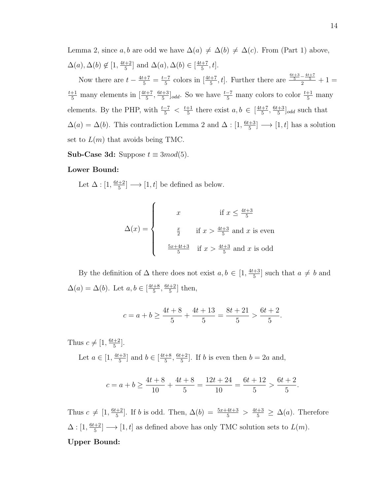Lemma 2, since a, b are odd we have  $\Delta(a) \neq \Delta(b) \neq \Delta(c)$ . From (Part 1) above,  $\Delta(a), \Delta(b) \notin [1, \frac{4t+2}{5}]$  $\frac{+2}{5}$ ] and  $\Delta(a), \Delta(b) \in \left[\frac{4t+7}{5}\right]$  $\frac{+7}{5}$ , t].

Now there are  $t - \frac{4t+7}{5} = \frac{t-7}{5}$  $\frac{-7}{5}$  colors in  $\left[\frac{4t+7}{5}, t\right]$ . Further there are  $\frac{\frac{6t+3}{5}-\frac{4t+7}{5}}{2}+1=$  $\frac{t+1}{5}$  many elements in  $\left[\frac{4t+7}{5}, \frac{6t+3}{5}\right]$  $\frac{+3}{5}$ ]<sub>odd</sub>. So we have  $\frac{t-7}{5}$  many colors to color  $\frac{t+1}{5}$  many elements. By the PHP, with  $\frac{t-7}{5} < \frac{t+1}{5}$  $\frac{+1}{5}$  there exist  $a, b \in \left[\frac{4t+7}{5}\right]$  $\frac{+7}{5}, \frac{6t+3}{5}$  $\frac{+3}{5}$ <sub>odd</sub> such that  $\Delta(a) = \Delta(b)$ . This contradiction Lemma 2 and  $\Delta : [1, \frac{6t+3}{5}]$  $\frac{[+3]}{5}] \longrightarrow [1, t]$  has a solution set to  $L(m)$  that avoids being TMC.

Sub-Case 3d: Suppose  $t \equiv 3mod(5)$ .

#### Lower Bound:

Let  $\Delta : [1, \frac{6t+2}{5}]$  $\frac{+2}{5}] \longrightarrow [1, t]$  be defined as below.

$$
\Delta(x) = \begin{cases}\nx & \text{if } x \le \frac{4t+3}{5} \\
\frac{x}{2} & \text{if } x > \frac{4t+3}{5} \text{ and } x \text{ is even} \\
\frac{5x+4t+3}{5} & \text{if } x > \frac{4t+3}{5} \text{ and } x \text{ is odd}\n\end{cases}
$$

By the definition of  $\Delta$  there does not exist  $a, b \in [1, \frac{4t+3}{5}]$  $\frac{a+3}{5}$  such that  $a \neq b$  and  $\Delta(a) = \Delta(b)$ . Let  $a, b \in \left[\frac{4t+8}{5}\right]$  $\frac{+8}{5}, \frac{6t+2}{5}$  $\frac{+2}{5}$  then,

$$
c = a + b \ge \frac{4t + 8}{5} + \frac{4t + 13}{5} = \frac{8t + 21}{5} > \frac{6t + 2}{5}.
$$

Thus  $c \neq [1, \frac{6t+2}{5}]$  $\frac{+2}{5}$ .

> Let  $a \in [1, \frac{4t+3}{5}]$  $\frac{+3}{5}$ ] and  $b \in \left[\frac{4t+8}{5}\right]$  $\frac{+8}{5}, \frac{6t+2}{5}$  $\frac{+2}{5}$ . If *b* is even then  $b = 2a$  and,

$$
c = a + b \ge \frac{4t + 8}{10} + \frac{4t + 8}{5} = \frac{12t + 24}{10} = \frac{6t + 12}{5} > \frac{6t + 2}{5}.
$$

Thus  $c \neq [1, \frac{6t+2}{5}]$  $\frac{+2}{5}$ . If *b* is odd. Then,  $\Delta(b) = \frac{5x+4t+3}{5} > \frac{4t+3}{5} \ge \Delta(a)$ . Therefore  $\Delta : [1, \frac{6t+2}{5}]$  $\frac{+2}{5}] \longrightarrow [1, t]$  as defined above has only TMC solution sets to  $L(m)$ . Upper Bound: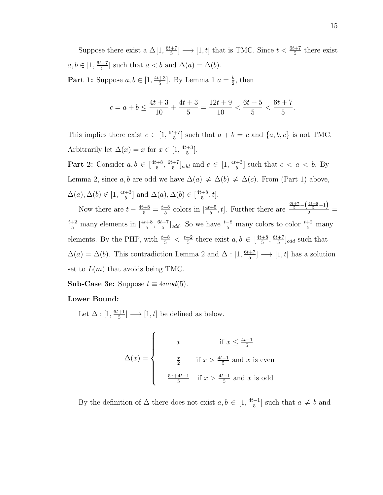Suppose there exist a  $\Delta[1, \frac{6t+7}{5}]$  $\frac{+7}{5}$   $\rightarrow$  [1, t] that is TMC. Since  $t < \frac{6t+7}{5}$  there exist  $a, b \in [1, \frac{6t+7}{5}]$  $\frac{+7}{5}$  such that  $a < b$  and  $\Delta(a) = \Delta(b)$ . **Part 1:** Suppose  $a, b \in \left[1, \frac{4t+3}{5}\right]$ 

 $\frac{+3}{5}$ . By Lemma 1  $a = \frac{b}{2}$  $\frac{b}{2}$ , then

$$
c = a + b \le \frac{4t + 3}{10} + \frac{4t + 3}{5} = \frac{12t + 9}{10} < \frac{6t + 5}{5} < \frac{6t + 7}{5}.
$$

This implies there exist  $c \in [1, \frac{6t+7}{5}]$  $\frac{+7}{5}$  such that  $a + b = c$  and  $\{a, b, c\}$  is not TMC. Arbitrarily let  $\Delta(x) = x$  for  $x \in [1, \frac{4t+3}{5}]$  $\frac{+3}{5}$ .

**Part 2:** Consider  $a, b \in \lceil \frac{4t+8}{5} \rceil$  $\frac{+8}{5}, \frac{6t+7}{5}$  $\frac{+7}{5}$ <sub>odd</sub> and  $c \in [1, \frac{4t+3}{5}]$  $\frac{+3}{5}$  such that  $c < a < b$ . By Lemma 2, since a, b are odd we have  $\Delta(a) \neq \Delta(b) \neq \Delta(c)$ . From (Part 1) above,  $\Delta(a), \Delta(b) \notin [1, \frac{4t+3}{5}]$  $\frac{+3}{5}$ ] and  $\Delta(a)$ ,  $\Delta(b) \in \left[\frac{4t+8}{5}\right]$  $\frac{+8}{5}$ , t].

Now there are  $t - \frac{4t+8}{5} = \frac{t-8}{5}$  $\frac{-8}{5}$  colors in  $\left[\frac{4t+5}{5}, t\right]$ . Further there are  $\frac{\frac{6t+7}{5} - \left(\frac{4t+8}{5} - 1\right)}{2}$  $\frac{5}{2}$  =  $\frac{t+2}{5}$  many elements in  $\left[\frac{4t+8}{5}, \frac{6t+7}{5}\right]$  $\frac{+7}{5}$ <sub>odd</sub>. So we have  $\frac{t-8}{5}$  many colors to color  $\frac{t+2}{5}$  many elements. By the PHP, with  $\frac{t-8}{5} < \frac{t+2}{5}$  $\frac{+2}{5}$  there exist  $a, b \in \left[\frac{4t+8}{5}\right]$  $\frac{+8}{5}, \frac{6t+7}{5}$  $\frac{+7}{5}$ <sub>odd</sub> such that  $\Delta(a) = \Delta(b)$ . This contradiction Lemma 2 and  $\Delta : [1, \frac{6t+7}{5}]$  $\frac{1+7}{5}$   $\longrightarrow$   $[1, t]$  has a solution set to  $L(m)$  that avoids being TMC.

**Sub-Case 3e:** Suppose  $t \equiv 4mod(5)$ .

# Lower Bound:

Let  $\Delta$  :  $[1, \frac{6t+1}{5}]$  $\frac{+1}{5}] \longrightarrow [1, t]$  be defined as below.

$$
\Delta(x) = \begin{cases}\nx & \text{if } x \le \frac{4t-1}{5} \\
\frac{x}{2} & \text{if } x > \frac{4t-1}{5} \text{ and } x \text{ is even} \\
\frac{5x+4t-1}{5} & \text{if } x > \frac{4t-1}{5} \text{ and } x \text{ is odd}\n\end{cases}
$$

By the definition of  $\Delta$  there does not exist  $a, b \in [1, \frac{4t-1}{5}]$  $\left[\frac{a-1}{5}\right]$  such that  $a \neq b$  and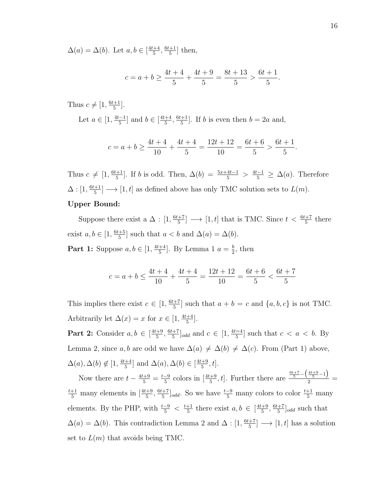$\Delta(a) = \Delta(b)$ . Let  $a, b \in \lceil \frac{4t+4}{5} \rceil$  $\frac{+4}{5}, \frac{6t+1}{5}$  $\frac{+1}{5}$  then,

$$
c = a + b \ge \frac{4t + 4}{5} + \frac{4t + 9}{5} = \frac{8t + 13}{5} > \frac{6t + 1}{5}.
$$

Thus  $c \neq [1, \frac{6t+1}{5}]$  $\frac{+1}{5}$ .

> Let  $a \in [1, \frac{4t-1}{5}]$  $\frac{-1}{5}$  and  $b \in \left[\frac{4t+4}{5}\right]$  $\frac{+4}{5}, \frac{6t+1}{5}$  $\frac{+1}{5}$ . If *b* is even then  $b = 2a$  and,

$$
c = a + b \ge \frac{4t + 4}{10} + \frac{4t + 4}{5} = \frac{12t + 12}{10} = \frac{6t + 6}{5} > \frac{6t + 1}{5}.
$$

Thus  $c \neq [1, \frac{6t+1}{5}]$  $\frac{+1}{5}$ . If *b* is odd. Then,  $\Delta(b) = \frac{5x+4t-1}{5} > \frac{4t-1}{5} \geq \Delta(a)$ . Therefore  $\Delta: [1, \frac{6t+1}{5}]$  $\frac{+1}{5}] \longrightarrow [1, t]$  as defined above has only TMC solution sets to  $L(m)$ .

# Upper Bound:

Suppose there exist a  $\Delta : [1, \frac{6t+7}{5}]$  $\frac{t+7}{5}$   $\longrightarrow$  [1, t] that is TMC. Since  $t < \frac{6t+7}{5}$  there exist  $a, b \in [1, \frac{6t+5}{5}]$  $\frac{+5}{5}$  such that  $a < b$  and  $\Delta(a) = \Delta(b)$ .

**Part 1:** Suppose  $a, b \in \left[1, \frac{4t+4}{5}\right]$  $\frac{+4}{5}$ . By Lemma 1  $a = \frac{b}{2}$  $\frac{b}{2}$ , then

$$
c = a + b \le \frac{4t + 4}{10} + \frac{4t + 4}{5} = \frac{12t + 12}{10} = \frac{6t + 6}{5} < \frac{6t + 7}{5}
$$

This implies there exist  $c \in [1, \frac{6t+7}{5}]$  $\frac{+7}{5}$  such that  $a + b = c$  and  $\{a, b, c\}$  is not TMC. Arbitrarily let  $\Delta(x) = x$  for  $x \in [1, \frac{4t+4}{5}]$  $\frac{+4}{5}$ .

**Part 2:** Consider  $a, b \in \lceil \frac{4t+9}{5} \rceil$  $\frac{+9}{5}, \frac{6t+7}{5}$  $\frac{+7}{5}$ <sub>odd</sub> and  $c \in [1, \frac{4t=4}{5}]$  $\frac{a}{5}$  such that  $c < a < b$ . By Lemma 2, since a, b are odd we have  $\Delta(a) \neq \Delta(b) \neq \Delta(c)$ . From (Part 1) above,  $\Delta(a), \Delta(b) \notin [1, \frac{4t+4}{5}]$  $\frac{+4}{5}$ ] and  $\Delta(a), \Delta(b) \in \left[\frac{4t+9}{5}\right]$  $\frac{+9}{5}$ , t].

Now there are  $t - \frac{4t+9}{5} = \frac{t-9}{5}$  $\frac{-9}{5}$  colors in  $\left[\frac{4t+9}{5}, t\right]$ . Further there are  $\frac{\frac{6t+7}{5} - \left(\frac{4t+9}{5} - 1\right)}{2}$  $\frac{5}{2}$  =  $\frac{t+1}{5}$  many elements in  $\left[\frac{4t+9}{5}, \frac{6t+7}{5}\right]$  $\frac{+7}{5}$ <sub>odd</sub>. So we have  $\frac{t-9}{5}$  many colors to color  $\frac{t+1}{5}$  many elements. By the PHP, with  $\frac{t-9}{5} < \frac{t+1}{5}$  $\frac{+1}{5}$  there exist  $a, b \in \left[\frac{4t+9}{5}\right]$  $\frac{+9}{5}, \frac{6t+7}{5}$  $\frac{+7}{5}$ <sub>odd</sub> such that  $\Delta(a) = \Delta(b)$ . This contradiction Lemma 2 and  $\Delta : [1, \frac{6t+7}{5}]$  $\frac{1+7}{5}$   $\longrightarrow$   $[1, t]$  has a solution set to  $L(m)$  that avoids being TMC.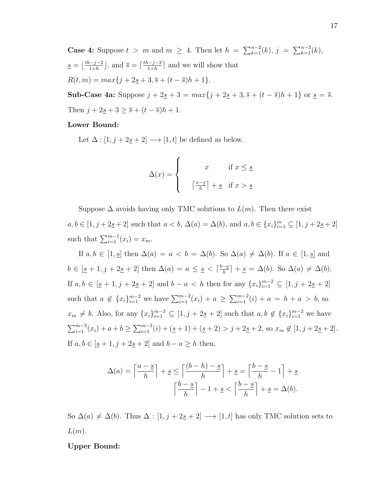**Case 4:** Suppose  $t > m$  and  $m \geq 4$ . Then let  $h = \sum_{k=1}^{n-2} (k)$ ,  $j = \sum_{k=1}^{n-3} (k)$ ,  $s = \frac{th-j-2}{1+h}$  $\frac{(-j-2)}{1+h}$ , and  $\overline{s} = \lceil \frac{th-j-2}{1+h} \rceil$  $\frac{1}{1+h}$  and we will show that  $R(t, m) = max{j + 2**s** + 3, **s** + (t - **s**)h + 1}.$ 

**Sub-Case 4a:** Suppose  $j + 2s + 3 = max\{j + 2s + 3, \overline{s} + (t - \overline{s})h + 1\}$  or  $s = \overline{s}$ . Then  $j + 2s + 3 \geq \overline{s} + (t - \overline{s})h + 1$ .

# Lower Bound:

Let  $\Delta : [1, j + 2\underline{s} + 2] \longrightarrow [1, t]$  be defined as below.

$$
\Delta(x) = \begin{cases} x & \text{if } x \leq \underline{s} \\ \left\lceil \frac{x - \underline{s}}{h} \right\rceil + \underline{s} & \text{if } x > \underline{s} \end{cases}
$$

Suppose  $\Delta$  avoids having only TMC solutions to  $L(m)$ . Then there exist  $a, b \in [1, j + 2\underline{s} + 2]$  such that  $a < b$ ,  $\Delta(a) = \Delta(b)$ , and  $a, b \in \{x_i\}_{i=1}^m \subseteq [1, j + 2\underline{s} + 2]$ such that  $\sum_{i=1}^{m-1} (x_i) = x_m$ .

If  $a, b \in [1, \underline{s}]$  then  $\Delta(a) = a < b = \Delta(b)$ . So  $\Delta(a) \neq \Delta(b)$ . If  $a \in [1, \underline{s}]$  and  $b \in [\underline{s} + 1, j + 2\underline{s} + 2]$  then  $\Delta(a) = a \leq \underline{s} < \lceil \frac{b - \underline{s}}{b} \rceil$  $\frac{-s}{h}$ ] + <u>s</u> =  $\Delta(b)$ . So  $\Delta(a) \neq \Delta(b)$ . If  $a, b \in [\underline{s} + 1, j + 2\underline{s} + 2]$  and  $b - a < h$  then for any  $\{x_i\}_{i=1}^{m-2} \subseteq [1, j + 2\underline{s} + 2]$ such that  $a \notin \{x_i\}_{i=1}^{m-2}$  we have  $\sum_{i=1}^{m-2} (x_i) + a \geq \sum_{i=1}^{m-2} (i) + a = h + a > b$ , so  $x_m \neq b$ . Also, for any  $\{x_i\}_{i=1}^{m-3} \subseteq [1, j + 2\underline{s} + 2]$  such that  $a, b \notin \{x_i\}_{i=1}^{m-2}$  we have  $\sum_{i=1}^{m-3}(x_i) + a + b \ge \sum_{i=1}^{m-3}(i) + (s+1) + (s+2) > j + 2s + 2$ , so  $x_m \notin [1, j+2s + 2]$ . If  $a, b \in [\underline{s} + 1, j + 2\underline{s} + 2]$  and  $b - a \geq h$  then,

$$
\Delta(a) = \left\lceil \frac{a - s}{h} \right\rceil + s \le \left\lceil \frac{(b - h) - s}{h} \right\rceil + s = \left\lceil \frac{b - s}{h} - 1 \right\rceil + s
$$

$$
\left\lceil \frac{b - s}{h} \right\rceil - 1 + s < \left\lceil \frac{b - s}{h} \right\rceil + s = \Delta(b).
$$

So  $\Delta(a) \neq \Delta(b)$ . Thus  $\Delta : [1, j + 2s + 2] \longrightarrow [1, t]$  has only TMC solution sets to  $L(m)$ .

## Upper Bound: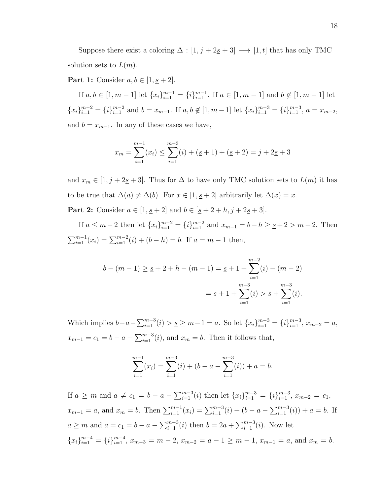Suppose there exist a coloring  $\Delta : [1, j + 2\underline{s} + 3] \longrightarrow [1, t]$  that has only TMC solution sets to  $L(m)$ .

**Part 1:** Consider  $a, b \in [1, \underline{s} + 2]$ .

If  $a, b \in [1, m-1]$  let  $\{x_i\}_{i=1}^{m-1} = \{i\}_{i=1}^{m-1}$ . If  $a \in [1, m-1]$  and  $b \notin [1, m-1]$  let  ${x_i}_{i=1}^{m-2}$  =  ${i}_{i=1}^{m-2}$  and  $b = x_{m-1}$ . If  $a, b \notin [1, m-1]$  let  ${x_i}_{i=1}^{m-3}$  =  ${x_i}_{i=1}^{m-3}$ ,  $a = x_{m-2}$ , and  $b = x_{m-1}$ . In any of these cases we have,

$$
x_m = \sum_{i=1}^{m-1} (x_i) \le \sum_{i=1}^{m-3} (i) + (\underline{s} + 1) + (\underline{s} + 2) = j + 2\underline{s} + 3
$$

and  $x_m \in [1, j + 2g + 3]$ . Thus for  $\Delta$  to have only TMC solution sets to  $L(m)$  it has to be true that  $\Delta(a) \neq \Delta(b)$ . For  $x \in [1, \underline{s} + 2]$  arbitrarily let  $\Delta(x) = x$ .

**Part 2:** Consider  $a \in [1, \underline{s} + 2]$  and  $b \in [\underline{s} + 2 + h, j + 2\underline{s} + 3]$ .

If  $a \le m-2$  then let  $\{x_i\}_{i=1}^{m-2} = \{i\}_{i=1}^{m-2}$  and  $x_{m-1} = b - h \ge \underline{s} + 2 > m - 2$ . Then  $\sum_{i=1}^{m-1}(x_i) = \sum_{i=1}^{m-2}(i) + (b - h) = b$ . If  $a = m - 1$  then,

$$
b - (m - 1) \ge \underline{s} + 2 + h - (m - 1) = \underline{s} + 1 + \sum_{i=1}^{m-2} (i) - (m - 2)
$$

$$
= \underline{s} + 1 + \sum_{i=1}^{m-3} (i) > \underline{s} + \sum_{i=1}^{m-3} (i).
$$

Which implies  $b-a-\sum_{i=1}^{m-3}(i) > s \ge m-1 = a$ . So let  $\{x_i\}_{i=1}^{m-3} = \{i\}_{i=1}^{m-3}$ ,  $x_{m-2} = a$ ,  $x_{m-1} = c_1 = b - a - \sum_{i=1}^{m-3} (i)$ , and  $x_m = b$ . Then it follows that,

$$
\sum_{i=1}^{m-1} (x_i) = \sum_{i=1}^{m-3} (i) + (b - a - \sum_{i=1}^{m-3} (i)) + a = b.
$$

If  $a \geq m$  and  $a \neq c_1 = b - a - \sum_{i=1}^{m-3} (i)$  then let  $\{x_i\}_{i=1}^{m-3} = \{i\}_{i=1}^{m-3}, x_{m-2} = c_1$ ,  $x_{m-1} = a$ , and  $x_m = b$ . Then  $\sum_{i=1}^{m-1} (x_i) = \sum_{i=1}^{m-3} (i) + (b - a - \sum_{i=1}^{m-3} (i)) + a = b$ . If  $a \geq m$  and  $a = c_1 = b - a - \sum_{i=1}^{m-3} (i)$  then  $b = 2a + \sum_{i=1}^{m-3} (i)$ . Now let  ${x_i}_{i=1}^{m-4} = {i}_{i=1}^{m-4}, x_{m-3} = m-2, x_{m-2} = a-1 \ge m-1, x_{m-1} = a$ , and  $x_m = b$ .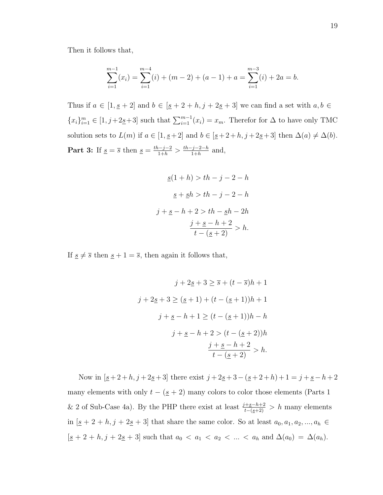Then it follows that,

$$
\sum_{i=1}^{m-1} (x_i) = \sum_{i=1}^{m-4} (i) + (m-2) + (a-1) + a = \sum_{i=1}^{m-3} (i) + 2a = b.
$$

Thus if  $a \in [1, \underline{s} + 2]$  and  $b \in [\underline{s} + 2 + h, j + 2\underline{s} + 3]$  we can find a set with  $a, b \in$  ${x_i}_{i=1}^m \in [1, j+2\underline{s}+3]$  such that  $\sum_{i=1}^{m-1} (x_i) = x_m$ . Therefor for  $\Delta$  to have only TMC solution sets to  $L(m)$  if  $a \in [1, \underline{s}+2]$  and  $b \in [\underline{s}+2+h, j+2\underline{s}+3]$  then  $\Delta(a) \neq \Delta(b)$ . **Part 3:** If  $\underline{s} = \overline{s}$  then  $\underline{s} = \frac{th-j-2}{1+h} > \frac{th-j-2-h}{1+h}$  $\frac{-j-2-h}{1+h}$  and,

$$
\underline{s}(1+h) > th - j - 2 - h
$$
  

$$
\underline{s} + \underline{s}h > th - j - 2 - h
$$
  

$$
j + \underline{s} - h + 2 > th - \underline{s}h - 2h
$$
  

$$
\frac{j + \underline{s} - h + 2}{t - (\underline{s} + 2)} > h.
$$

If  $s \neq \overline{s}$  then  $s + 1 = \overline{s}$ , then again it follows that,

$$
j + 2g + 3 \ge \overline{s} + (t - \overline{s})h + 1
$$
  

$$
j + 2g + 3 \ge (u + 1) + (t - (u + 1))h + 1
$$
  

$$
j + \underline{s} - h + 1 \ge (t - (u + 1))h - h
$$
  

$$
j + \underline{s} - h + 2 > (t - (u + 2))h
$$
  

$$
\frac{j + \underline{s} - h + 2}{t - (u + 2)} > h.
$$

Now in  $[\underline{s}+2+h, j+2\underline{s}+3]$  there exist  $j+2\underline{s}+3-(\underline{s}+2+h)+1=j+\underline{s}-h+2$ many elements with only  $t - (\underline{s} + 2)$  many colors to color those elements (Parts 1 & 2 of Sub-Case 4a). By the PHP there exist at least  $\frac{j+s-h+2}{t-(s+2)} > h$  many elements in  $[s + 2 + h, j + 2s + 3]$  that share the same color. So at least  $a_0, a_1, a_2, ..., a_h \in$  $[s + 2 + h, j + 2s + 3]$  such that  $a_0 < a_1 < a_2 < ... < a_h$  and  $\Delta(a_0) = \Delta(a_h)$ .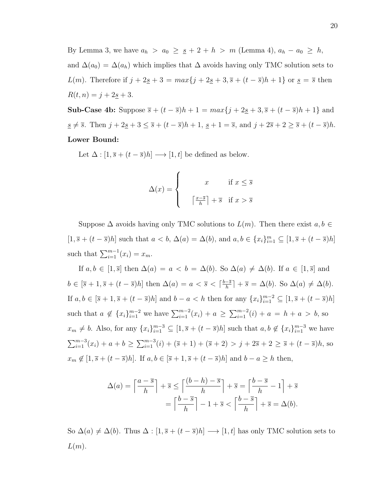By Lemma 3, we have  $a_h > a_0 \geq s + 2 + h > m$  (Lemma 4),  $a_h - a_0 \geq h$ , and  $\Delta(a_0) = \Delta(a_h)$  which implies that  $\Delta$  avoids having only TMC solution sets to L(m). Therefore if  $j + 2s + 3 = max\{j + 2s + 3, \overline{s} + (t - \overline{s})h + 1\}$  or  $s = \overline{s}$  then  $R(t, n) = j + 2s + 3.$ 

**Sub-Case 4b:** Suppose  $\bar{s} + (t - \bar{s})h + 1 = max\{j + 2s + 3, \bar{s} + (t - \bar{s})h + 1\}$  and  $s \neq \overline{s}$ . Then  $j + 2s + 3 \leq \overline{s} + (t - \overline{s})h + 1$ ,  $s \neq 1 = \overline{s}$ , and  $j + 2\overline{s} + 2 \geq \overline{s} + (t - \overline{s})h$ . Lower Bound:

Let  $\Delta : [1, \overline{s} + (t - \overline{s})h] \longrightarrow [1, t]$  be defined as below.

$$
\Delta(x) = \begin{cases} x & \text{if } x \leq \overline{s} \\ \left\lceil \frac{x - \overline{s}}{h} \right\rceil + \overline{s} & \text{if } x > \overline{s} \end{cases}
$$

Suppose  $\Delta$  avoids having only TMC solutions to  $L(m)$ . Then there exist  $a, b \in$  $[1, \overline{s} + (t - \overline{s})h]$  such that  $a < b$ ,  $\Delta(a) = \Delta(b)$ , and  $a, b \in \{x_i\}_{i=1}^m \subseteq [1, \overline{s} + (t - \overline{s})h]$ such that  $\sum_{i=1}^{m-1} (x_i) = x_m$ .

If  $a, b \in [1, \overline{s}]$  then  $\Delta(a) = a < b = \Delta(b)$ . So  $\Delta(a) \neq \Delta(b)$ . If  $a \in [1, \overline{s}]$  and  $b \in [\overline{s} + 1, \overline{s} + (t - \overline{s})h]$  then  $\Delta(a) = a < \overline{s} < \lceil \frac{b - \overline{s}}{h} \rceil$  $\frac{-\overline{s}}{h}$ ] +  $\overline{s}$  =  $\Delta(b)$ . So  $\Delta(a) \neq \Delta(b)$ . If  $a, b \in [\bar{s} + 1, \bar{s} + (t - \bar{s})h]$  and  $b - a < h$  then for any  ${x_i}_{i=1}^{m-2} \subseteq [1, \bar{s} + (t - \bar{s})h]$ such that  $a \notin \{x_i\}_{i=1}^{m-2}$  we have  $\sum_{i=1}^{m-2} (x_i) + a \geq \sum_{i=1}^{m-2} (i) + a = h + a > b$ , so  $x_m \neq b$ . Also, for any  $\{x_i\}_{i=1}^{m-3} \subseteq [1, \overline{s} + (t-\overline{s})h]$  such that  $a, b \notin \{x_i\}_{i=1}^{m-3}$  we have  $\sum_{i=1}^{m-3}(x_i) + a + b \ge \sum_{i=1}^{m-3}(i) + (\overline{s} + 1) + (\overline{s} + 2) > j + 2\overline{s} + 2 \ge \overline{s} + (t - \overline{s})h$ , so  $x_m \notin [1, \overline{s} + (t - \overline{s})h]$ . If  $a, b \in [\overline{s} + 1, \overline{s} + (t - \overline{s})h]$  and  $b - a \geq h$  then,

$$
\Delta(a) = \left\lceil \frac{a - \overline{s}}{h} \right\rceil + \overline{s} \le \left\lceil \frac{(b - h) - \overline{s}}{h} \right\rceil + \overline{s} = \left\lceil \frac{b - \overline{s}}{h} - 1 \right\rceil + \overline{s}
$$

$$
= \left\lceil \frac{b - \overline{s}}{h} \right\rceil - 1 + \overline{s} < \left\lceil \frac{b - \overline{s}}{h} \right\rceil + \overline{s} = \Delta(b).
$$

So  $\Delta(a) \neq \Delta(b)$ . Thus  $\Delta : [1, \overline{s} + (t - \overline{s})h] \longrightarrow [1, t]$  has only TMC solution sets to  $L(m)$ .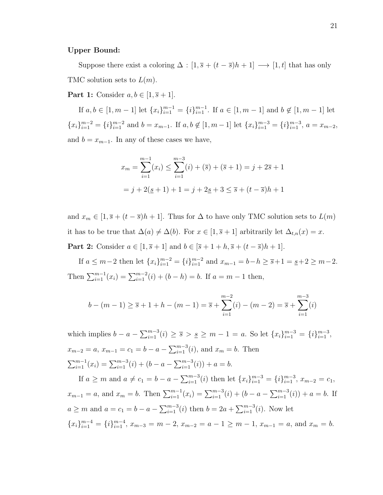#### Upper Bound:

Suppose there exist a coloring  $\Delta : [1, \overline{s} + (t - \overline{s})h + 1] \longrightarrow [1, t]$  that has only TMC solution sets to  $L(m)$ .

**Part 1:** Consider  $a, b \in [1, \overline{s} + 1]$ .

If  $a, b \in [1, m-1]$  let  $\{x_i\}_{i=1}^{m-1} = \{i\}_{i=1}^{m-1}$ . If  $a \in [1, m-1]$  and  $b \notin [1, m-1]$  let  ${x_i}_{i=1}^{m-2}$  =  ${i_i}_{i=1}^{m-2}$  and  $b = x_{m-1}$ . If  $a, b \notin [1, m-1]$  let  ${x_i}_{i=1}^{m-3}$  =  ${x_i}_{i=1}^{m-3}$ ,  $a = x_{m-2}$ , and  $b = x_{m-1}$ . In any of these cases we have,

$$
x_m = \sum_{i=1}^{m-1} (x_i) \le \sum_{i=1}^{m-3} (i) + (\overline{s}) + (\overline{s} + 1) = j + 2\overline{s} + 1
$$

$$
= j + 2(\underline{s} + 1) + 1 = j + 2\underline{s} + 3 \le \overline{s} + (t - \overline{s})h + 1
$$

and  $x_m \in [1, \overline{s} + (t - \overline{s})h + 1]$ . Thus for  $\Delta$  to have only TMC solution sets to  $L(m)$ it has to be true that  $\Delta(a) \neq \Delta(b)$ . For  $x \in [1, \overline{s} + 1]$  arbitrarily let  $\Delta_{t,n}(x) = x$ .

**Part 2:** Consider  $a \in [1, \bar{s} + 1]$  and  $b \in [\bar{s} + 1 + h, \bar{s} + (t - \bar{s})h + 1]$ .

If  $a \leq m-2$  then let  $\{x_i\}_{i=1}^{m-2} = \{i\}_{i=1}^{m-2}$  and  $x_{m-1} = b - h \geq \overline{s} + 1 = \underline{s} + 2 \geq m - 2$ . Then  $\sum_{i=1}^{m-1} (x_i) = \sum_{i=1}^{m-2} (i) + (b - h) = b$ . If  $a = m - 1$  then,

$$
b - (m - 1) \ge \overline{s} + 1 + h - (m - 1) = \overline{s} + \sum_{i=1}^{m-2} (i) - (m - 2) = \overline{s} + \sum_{i=1}^{m-3} (i)
$$

which implies  $b - a - \sum_{i=1}^{m-3} (i) \geq \overline{s} > \underline{s} \geq m - 1 = a$ . So let  $\{x_i\}_{i=1}^{m-3} = \{i\}_{i=1}^{m-3}$ ,  $x_{m-2} = a, x_{m-1} = c_1 = b - a - \sum_{i=1}^{m-3} (i)$ , and  $x_m = b$ . Then  $\sum_{i=1}^{m-1}(x_i) = \sum_{i=1}^{m-3}(i) + (b - a - \sum_{i=1}^{m-3}(i)) + a = b.$ 

If  $a \geq m$  and  $a \neq c_1 = b - a - \sum_{i=1}^{m-3} (i)$  then let  $\{x_i\}_{i=1}^{m-3} = \{i\}_{i=1}^{m-3}$ ,  $x_{m-2} = c_1$ ,  $x_{m-1} = a$ , and  $x_m = b$ . Then  $\sum_{i=1}^{m-1} (x_i) = \sum_{i=1}^{m-3} (i) + (b - a - \sum_{i=1}^{m-3} (i)) + a = b$ . If  $a \geq m$  and  $a = c_1 = b - a - \sum_{i=1}^{m-3} (i)$  then  $b = 2a + \sum_{i=1}^{m-3} (i)$ . Now let  ${x_i}_{i=1}^{m-4} = {i}_{i=1}^{m-4}, x_{m-3} = m-2, x_{m-2} = a-1 \ge m-1, x_{m-1} = a$ , and  $x_m = b$ .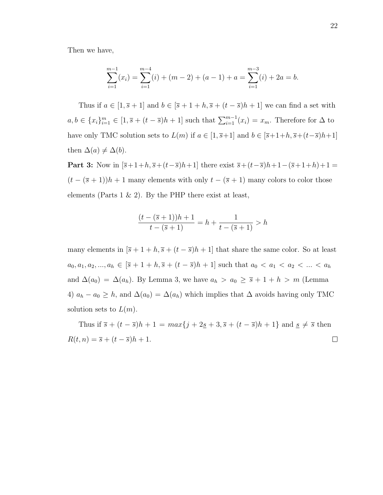Then we have,

$$
\sum_{i=1}^{m-1} (x_i) = \sum_{i=1}^{m-4} (i) + (m-2) + (a-1) + a = \sum_{i=1}^{m-3} (i) + 2a = b.
$$

Thus if  $a \in [1, \overline{s} + 1]$  and  $b \in [\overline{s} + 1 + h, \overline{s} + (t - \overline{s})h + 1]$  we can find a set with  $a, b \in \{x_i\}_{i=1}^m \in [1, \overline{s} + (t-\overline{s})h+1]$  such that  $\sum_{i=1}^{m-1}(x_i) = x_m$ . Therefore for  $\Delta$  to have only TMC solution sets to  $L(m)$  if  $a \in [1, \overline{s}+1]$  and  $b \in [\overline{s}+1+h, \overline{s}+(t-\overline{s})h+1]$ then  $\Delta(a) \neq \Delta(b)$ .

Part 3: Now in  $[\bar{s}+1+h,\bar{s}+(t-\bar{s})h+1]$  there exist  $\bar{s}+(t-\bar{s})h+1-(\bar{s}+1+h)+1=$  $(t - (\overline{s} + 1))h + 1$  many elements with only  $t - (\overline{s} + 1)$  many colors to color those elements (Parts 1  $\&$  2). By the PHP there exist at least,

$$
\frac{(t - (\overline{s} + 1))h + 1}{t - (\overline{s} + 1)} = h + \frac{1}{t - (\overline{s} + 1)} > h
$$

many elements in  $[\bar{s} + 1 + h, \bar{s} + (t - \bar{s})h + 1]$  that share the same color. So at least  $a_0, a_1, a_2, ..., a_h \in [\bar{s} + 1 + h, \bar{s} + (t - \bar{s})h + 1]$  such that  $a_0 < a_1 < a_2 < ... < a_h$ and  $\Delta(a_0) = \Delta(a_h)$ . By Lemma 3, we have  $a_h > a_0 \geq \overline{s} + 1 + h > m$  (Lemma 4)  $a_h - a_0 \geq h$ , and  $\Delta(a_0) = \Delta(a_h)$  which implies that  $\Delta$  avoids having only TMC solution sets to  $L(m)$ .

Thus if  $\overline{s} + (t - \overline{s})h + 1 = max\{j + 2\underline{s} + 3, \overline{s} + (t - \overline{s})h + 1\}$  and  $\underline{s} \neq \overline{s}$  then  $R(t, n) = \overline{s} + (t - \overline{s})h + 1.$  $\Box$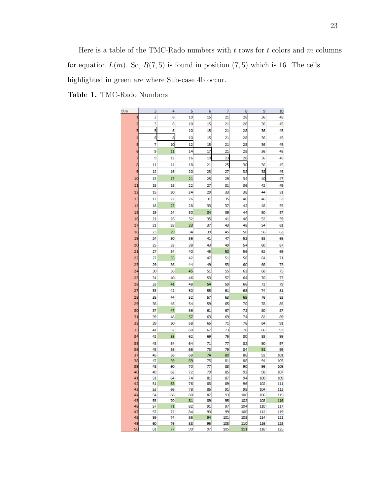Here is a table of the TMC-Rado numbers with  $t$  rows for  $t$  colors and  $m$  columns for equation  $L(m)$ . So,  $R(7, 5)$  is found in position  $(7, 5)$  which is 16. The cells highlighted in green are where Sub-case 4b occur.

Table 1. TMC-Rado Numbers

| t\m      | 3              | 4        | 5        | 6        | 7        | 8         | 9          | 10         |
|----------|----------------|----------|----------|----------|----------|-----------|------------|------------|
| 1        | 3              | 6        | 10       | 15       | 21       | 28        | 36         | 45         |
| 2        | 3              | 6        | 10       | 15       | 21       | 28        | 36         | 45         |
| з        | 5              | 6        | 10       | 15       | 21       | 28        | 36         | 45         |
| 4        | 6              | 8        | 10       | 15       | 21       | 28        | 36         | 45         |
| 5        | 7              | 10       | 12       | 15       | 21       | 28        | 36         | 45         |
| 6        | 9              | 11       | 14       | 17       | 21       | 28        | 36         | 45         |
| 7        | 9              | 12       | 16       | 19       | 23       | 28        | 36         | 45         |
| 8        | 11             | 14       | 18       | 21       | 25       | 30        | 36         | 45         |
| 9        | 12             | 16       | 20       | 23       | 27       | 32        | 38         | 45         |
| 10       | 13             | 17       | 21       | 25       | 29       | 34        | 40         | 47         |
| 11       | 15             | 18       | 22       | 27       | 31       | 36        | 42         | 49         |
| 12       | 15             | 20       | 24       | 29       | 33       | 38        | 44         | 51         |
|          | 17             | 22       |          |          | 35       | 40        | 46         |            |
| 13<br>14 | 18             | 23       | 26<br>28 | 31<br>33 | 37       | 42        | 48         | 53<br>55   |
|          |                |          |          |          |          |           |            |            |
| 15       | 19             | 24       | 30       | 34       | 39       | 44        | 50         | 57         |
| 16       | 21             | 26       | 32       | 35       | 41       | 46        | 52         | 59         |
| 17       | 21             | 28       | 33       | 37       | 43       | 48        | 54         | 61         |
| 18       | 23             | 29       | 34       | 39       | 45       | 50        | 56         | 63         |
| 19       | 24             | 30       | 36       | 41       | 47       | 52        | 58         | 65         |
| 20       | 25             | 32       | 38       | 43       | 49       | 54        | 60         | 67         |
| 21       | 27             | 34       | 40       | 45       | 50       | 56        | 62         | 69         |
| 22       | 27             | 35       | 42       | 47       | 51       | 58        | 64         | 71         |
| 23       | 29             | 36       | 44       | 49       | 53       | 60        | 66         | 73         |
| 24       | 30             | 38       | 45       | 51       | 55       | 62        | 68         | 75         |
| 25       | 31             | 40       | 46       | 53       | 57       | 64        | 70         | 77         |
| 26       | 33             | 41<br>42 | 48       | 54<br>55 | 59       | 66        | 72<br>74   | 79         |
| 27       | 33             |          | 50       |          | 61       | 68        |            | 81         |
| 28       | 35             | 44       | 52<br>54 | 57       | 63       | 69        | 76         | 83<br>85   |
| 29       | 36             | 46       |          | 59       | 65       | 70        | 78         |            |
| 30       | 37             | 47       | 56       | 61       | 67       | 72        | 80         | 87         |
| 31<br>32 | 39<br>39       | 48<br>50 | 57<br>58 | 63<br>65 | 69<br>71 | 74<br>76  | 82<br>84   | 89<br>91   |
|          |                |          |          |          |          |           |            |            |
| 33       | 41<br>42       | 52       | 60<br>62 | 67<br>69 | 73       | 78<br>80  | 86<br>88   | 93<br>95   |
| 34       |                | 53       |          |          | 75       |           |            |            |
| 35<br>36 | 43<br>45       | 54<br>56 | 64<br>66 | 71<br>73 | 77<br>79 | 82<br>84  | 90<br>91   | 97<br>99   |
| 37       | 45             | 58       | 68       | 74       | 80       | 86        | 92         | 101        |
| 38       | 47             | 59       | 69       | 75       | 81       | 88        | 94         | 103        |
| 39       | 48             | 60       | 70       | 77       | 83       | 90        | 96         | 105        |
| 40       | 49             | 62       | 72       | 79       | 85       | 92        | 98         | 107        |
| 41       | 51             | 64       | 74       | 81       | 87       | 94        | 100        | 109        |
| 42       | 51             | 65       | 76       | 83       | 89       | 96        | 102        | 111        |
| 43<br>44 | 53<br>54       | 66<br>68 | 78<br>80 | 85<br>87 | 91<br>93 | 98<br>100 | 104<br>106 | 113<br>115 |
| 45       | 55             | 70       | 81       | 89       | 95       | 102       | 108        | 116        |
| 46       | 57             | 71       | 82       | 91       | 97       | 104       | 110        | 117        |
| 47       | 57             | 72       | 84       | 93       | 99       | 106       | 112        | 119        |
| 48       | 59             | 74       | 86       | 94       | 101      | 108       | 114        | 121        |
| 49       | 60             | 76       | 88       | 95       | 103      | 110       | 116        | 123        |
| c٢       | C <sub>1</sub> | 77       | o٥       | 97       | 105      | 111       | 110        | 105        |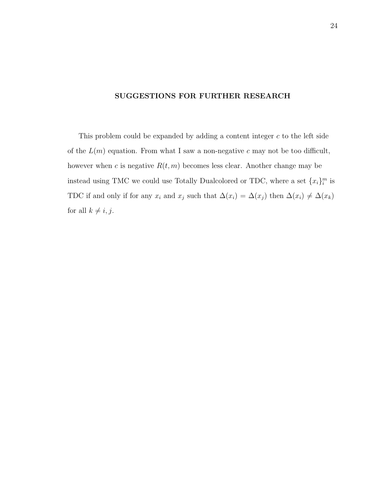# SUGGESTIONS FOR FURTHER RESEARCH

This problem could be expanded by adding a content integer  $c$  to the left side of the  $L(m)$  equation. From what I saw a non-negative c may not be too difficult, however when c is negative  $R(t, m)$  becomes less clear. Another change may be instead using TMC we could use Totally Dualcolored or TDC, where a set  ${x_i}_{i}^{m}$  is TDC if and only if for any  $x_i$  and  $x_j$  such that  $\Delta(x_i) = \Delta(x_j)$  then  $\Delta(x_i) \neq \Delta(x_k)$ for all  $k \neq i, j$ .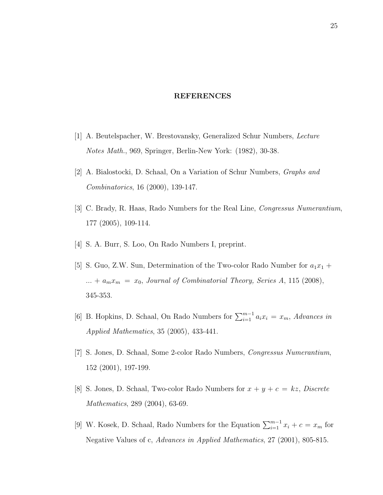# REFERENCES

- [1] A. Beutelspacher, W. Brestovansky, Generalized Schur Numbers, Lecture Notes Math., 969, Springer, Berlin-New York: (1982), 30-38.
- [2] A. Bialostocki, D. Schaal, On a Variation of Schur Numbers, Graphs and Combinatorics, 16 (2000), 139-147.
- [3] C. Brady, R. Haas, Rado Numbers for the Real Line, Congressus Numerantium, 177 (2005), 109-114.
- [4] S. A. Burr, S. Loo, On Rado Numbers I, preprint.
- [5] S. Guo, Z.W. Sun, Determination of the Two-color Rado Number for  $a_1x_1 +$ ... +  $a_m x_m = x_0$ , Journal of Combinatorial Theory, Series A, 115 (2008), 345-353.
- [6] B. Hopkins, D. Schaal, On Rado Numbers for  $\sum_{i=1}^{m-1} a_i x_i = x_m$ , Advances in Applied Mathematics, 35 (2005), 433-441.
- [7] S. Jones, D. Schaal, Some 2-color Rado Numbers, Congressus Numerantium, 152 (2001), 197-199.
- [8] S. Jones, D. Schaal, Two-color Rado Numbers for  $x + y + c = kz$ , Discrete Mathematics, 289 (2004), 63-69.
- [9] W. Kosek, D. Schaal, Rado Numbers for the Equation  $\sum_{i=1}^{m-1} x_i + c = x_m$  for Negative Values of c, Advances in Applied Mathematics, 27 (2001), 805-815.